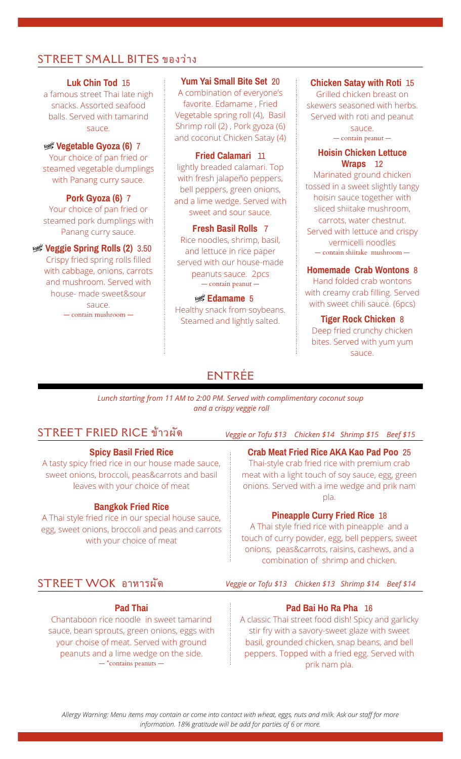## STREET SMALL BITES ของว่าง

#### **Luk Chin Tod** 15

a famous street Thai late nigh snacks. Assorted seafood balls. Served with tamarind sauce.

Your choice of pan fried or steamed vegetable dumplings with Panang curry sauce.

**Pork Gyoza (6)** 7 Your choice of pan fried or steamed pork dumplings with Panang curry sauce. **Fresh Basil Rolls** 7

## **WEY Veggie Spring Rolls (2)** 3.50

Crispy fried spring rolls filled with cabbage, onions, carrots and mushroom. Served with house- made sweet&sour sauce. — contain mushroom —

**Yum Yai Small Bite Set** 20

A combination of everyone's favorite. Edamame , Fried Vegetable spring roll (4), Basil Shrimp roll (2) , Pork gyoza (6) and coconut Chicken Satay (4) Figure 2013 and coconut Chicken Satay (4) **Contain peanut** — contain peanut —  $\frac{1}{2}$  **Vegetable Gyoza (6) 7** 

#### **Fried Calamari** 11

lightly breaded calamari. Top with fresh jalapeño peppers, bell peppers, green onions, and a lime wedge. Served with sweet and sour sauce.

Rice noodles, shrimp, basil, and lettuce in rice paper served with our house-made peanuts sauce. 2pcs — contain peanut —

# À **Edamame** 5 Healthy snack from soybeans.

#### **Chicken Satay with Roti** 15

Grilled chicken breast on skewers seasoned with herbs. Served with roti and peanut sauce.

#### **Hoisin Chicken Lettuce Wraps** 12

Marinated ground chicken tossed in a sweet slightly tangy hoisin sauce together with sliced shiitake mushroom, carrots, water chestnut. Served with lettuce and crispy vermicelli noodles — contain shiitake mushroom —

## **Homemade Crab Wontons** 8

Hand folded crab wontons with creamy crab filling. Served with sweet chili sauce. (6pcs)

Steamed and lightly salted. **Tiger Rock Chicken** 8 Deep fried crunchy chicken bites. Served with yum yum sauce.

# ENTRÉE

*Lunch starting from 11 AM to 2:00 PM. Served with complimentary coconut soup and a crispy veggie roll*

## STREET FRIED RICE ข้าวผัด

## **Spicy Basil Fried Rice**

A tasty spicy fried rice in our house made sauce, sweet onions, broccoli, peas&carrots and basil leaves with your choice of meat

### **Bangkok Fried Rice**

A Thai style fried rice in our special house sauce, egg, sweet onions, broccoli and peas and carrots with your choice of meat

### *Veggie or Tofu \$13 Chicken \$14 Shrimp \$15 Beef \$15*

### **Crab Meat Fried Rice AKA Kao Pad Poo** 25

Thai-style crab fried rice with premium crab meat with a light touch of soy sauce, egg, green onions. Served with a ime wedge and prik nam pla.

### **Pineapple Curry Fried Rice** 18

A Thai style fried rice with pineapple and a touch of curry powder, egg, bell peppers, sweet onions, peas&carrots, raisins, cashews, and a combination of shrimp and chicken.

## STREET WOK อาหารผัด อาหารผัด

### **Pad Thai**

Chantaboon rice noodle in sweet tamarind sauce, bean sprouts, green onions, eggs with your choise of meat. Served with ground peanuts and a lime wedge on the side.  $-$ \*contains peanuts  $-$ 

*Veggie or Tofu \$13 Chicken \$13 Shrimp \$14 Beef \$14*

### **Pad Bai Ho Ra Pha** 16

A classic Thai street food dish! Spicy and garlicky stir fry with a savory-sweet glaze with sweet basil, grounded chicken, snap beans, and bell peppers. Topped with a fried egg. Served with prik nam pla.

*Allergy Warning: Menu items may contain or come into contact with wheat, eggs, nuts and milk. Ask our staff for more information. 18% gratitude will be add for parties of 6 or more.*